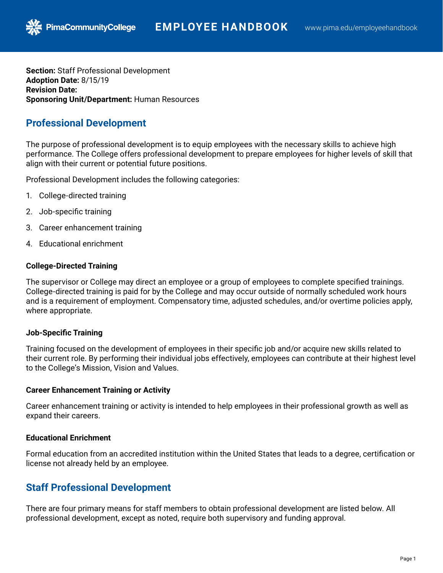**Section:** Staff Professional Development **Adoption Date:** 8/15/19 **Revision Date: Sponsoring Unit/Department:** Human Resources

# **Professional Development**

**PimaCommunityCollege** 

The purpose of professional development is to equip employees with the necessary skills to achieve high performance. The College offers professional development to prepare employees for higher levels of skill that align with their current or potential future positions.

Professional Development includes the following categories:

- 1. College-directed training
- 2. Job-specific training
- 3. Career enhancement training
- 4. Educational enrichment

#### **College-Directed Training**

The supervisor or College may direct an employee or a group of employees to complete specified trainings. College-directed training is paid for by the College and may occur outside of normally scheduled work hours and is a requirement of employment. Compensatory time, adjusted schedules, and/or overtime policies apply, where appropriate.

### **Job-Specific Training**

Training focused on the development of employees in their specific job and/or acquire new skills related to their current role. By performing their individual jobs effectively, employees can contribute at their highest level to the College's Mission, Vision and Values.

#### **Career Enhancement Training or Activity**

Career enhancement training or activity is intended to help employees in their professional growth as well as expand their careers.

### **Educational Enrichment**

Formal education from an accredited institution within the United States that leads to a degree, certification or license not already held by an employee.

# **Staff Professional Development**

There are four primary means for staff members to obtain professional development are listed below. All professional development, except as noted, require both supervisory and funding approval.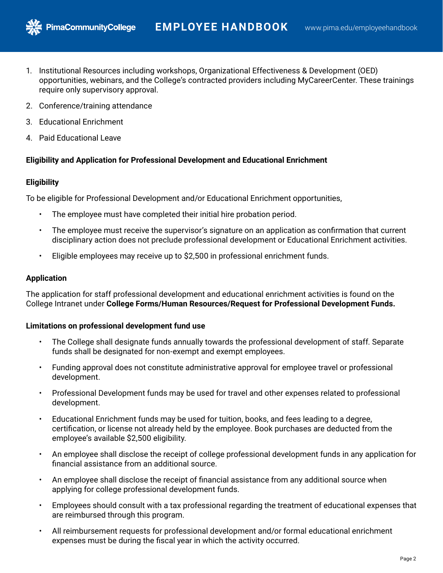- 1. Institutional Resources including workshops, Organizational Effectiveness & Development (OED) opportunities, webinars, and the College's contracted providers including MyCareerCenter. These trainings require only supervisory approval.
- 2. Conference/training attendance

**PimaCommunityCollege** 

- 3. Educational Enrichment
- 4. Paid Educational Leave

## **Eligibility and Application for Professional Development and Educational Enrichment**

## **Eligibility**

To be eligible for Professional Development and/or Educational Enrichment opportunities,

- The employee must have completed their initial hire probation period.
- The employee must receive the supervisor's signature on an application as confirmation that current disciplinary action does not preclude professional development or Educational Enrichment activities.
- Eligible employees may receive up to \$2,500 in professional enrichment funds.

### **Application**

The application for staff professional development and educational enrichment activities is found on the College Intranet under **College Forms/Human Resources/Request for Professional Development Funds.**

#### **Limitations on professional development fund use**

- The College shall designate funds annually towards the professional development of staff. Separate funds shall be designated for non-exempt and exempt employees.
- Funding approval does not constitute administrative approval for employee travel or professional development.
- Professional Development funds may be used for travel and other expenses related to professional development.
- Educational Enrichment funds may be used for tuition, books, and fees leading to a degree, certification, or license not already held by the employee. Book purchases are deducted from the employee's available \$2,500 eligibility.
- An employee shall disclose the receipt of college professional development funds in any application for financial assistance from an additional source.
- An employee shall disclose the receipt of financial assistance from any additional source when applying for college professional development funds.
- Employees should consult with a tax professional regarding the treatment of educational expenses that are reimbursed through this program.
- All reimbursement requests for professional development and/or formal educational enrichment expenses must be during the fiscal year in which the activity occurred.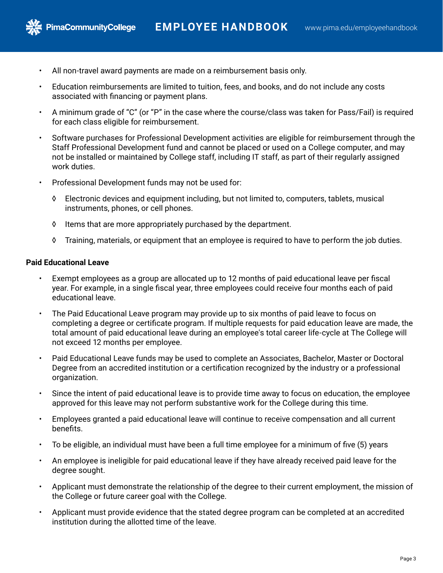

**PimaCommunityCollege** 

- All non-travel award payments are made on a reimbursement basis only.
- Education reimbursements are limited to tuition, fees, and books, and do not include any costs associated with financing or payment plans.
- A minimum grade of "C" (or "P" in the case where the course/class was taken for Pass/Fail) is required for each class eligible for reimbursement.
- Software purchases for Professional Development activities are eligible for reimbursement through the Staff Professional Development fund and cannot be placed or used on a College computer, and may not be installed or maintained by College staff, including IT staff, as part of their regularly assigned work duties.
- Professional Development funds may not be used for:
	- ◊ Electronic devices and equipment including, but not limited to, computers, tablets, musical instruments, phones, or cell phones.
	- ◊ Items that are more appropriately purchased by the department.
	- ◊ Training, materials, or equipment that an employee is required to have to perform the job duties.

#### **Paid Educational Leave**

- Exempt employees as a group are allocated up to 12 months of paid educational leave per fiscal year. For example, in a single fiscal year, three employees could receive four months each of paid educational leave.
- The Paid Educational Leave program may provide up to six months of paid leave to focus on completing a degree or certificate program. If multiple requests for paid education leave are made, the total amount of paid educational leave during an employee's total career life-cycle at The College will not exceed 12 months per employee.
- Paid Educational Leave funds may be used to complete an Associates, Bachelor, Master or Doctoral Degree from an accredited institution or a certification recognized by the industry or a professional organization.
- Since the intent of paid educational leave is to provide time away to focus on education, the employee approved for this leave may not perform substantive work for the College during this time.
- Employees granted a paid educational leave will continue to receive compensation and all current benefits.
- To be eligible, an individual must have been a full time employee for a minimum of five (5) years
- An employee is ineligible for paid educational leave if they have already received paid leave for the degree sought.
- Applicant must demonstrate the relationship of the degree to their current employment, the mission of the College or future career goal with the College.
- Applicant must provide evidence that the stated degree program can be completed at an accredited institution during the allotted time of the leave.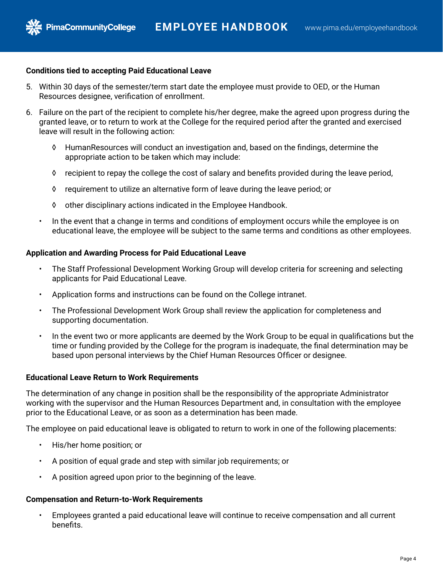

#### **Conditions tied to accepting Paid Educational Leave**

- 5. Within 30 days of the semester/term start date the employee must provide to OED, or the Human Resources designee, verification of enrollment.
- 6. Failure on the part of the recipient to complete his/her degree, make the agreed upon progress during the granted leave, or to return to work at the College for the required period after the granted and exercised leave will result in the following action:
	- ◊ HumanResources will conduct an investigation and, based on the findings, determine the appropriate action to be taken which may include:
	- ◊ recipient to repay the college the cost of salary and benefits provided during the leave period,
	- ◊ requirement to utilize an alternative form of leave during the leave period; or
	- ◊ other disciplinary actions indicated in the Employee Handbook.
	- In the event that a change in terms and conditions of employment occurs while the employee is on educational leave, the employee will be subject to the same terms and conditions as other employees.

#### **Application and Awarding Process for Paid Educational Leave**

- The Staff Professional Development Working Group will develop criteria for screening and selecting applicants for Paid Educational Leave.
- Application forms and instructions can be found on the College intranet.
- The Professional Development Work Group shall review the application for completeness and supporting documentation.
- In the event two or more applicants are deemed by the Work Group to be equal in qualifications but the time or funding provided by the College for the program is inadequate, the final determination may be based upon personal interviews by the Chief Human Resources Officer or designee.

#### **Educational Leave Return to Work Requirements**

The determination of any change in position shall be the responsibility of the appropriate Administrator working with the supervisor and the Human Resources Department and, in consultation with the employee prior to the Educational Leave, or as soon as a determination has been made.

The employee on paid educational leave is obligated to return to work in one of the following placements:

- His/her home position; or
- A position of equal grade and step with similar job requirements; or
- A position agreed upon prior to the beginning of the leave.

#### **Compensation and Return-to-Work Requirements**

• Employees granted a paid educational leave will continue to receive compensation and all current benefits.